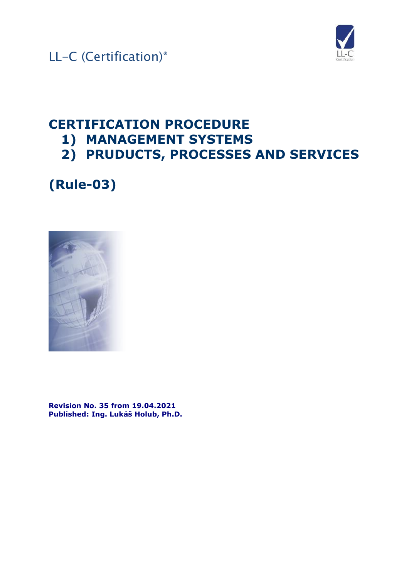



### **CERTIFICATION PROCEDURE 1) MANAGEMENT SYSTEMS**

**2) PRUDUCTS, PROCESSES AND SERVICES**

**(Rule-03)**



**Revision No. 35 from 19.04.2021 Published: Ing. Lukáš Holub, Ph.D.**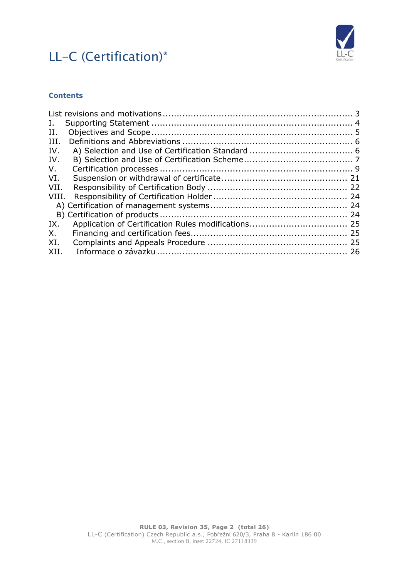

### **Contents**

| Ι.          |  |
|-------------|--|
| H.          |  |
| III.        |  |
| IV.         |  |
| IV.         |  |
| $V_{\cdot}$ |  |
| VI.         |  |
| VII.        |  |
| VIII.       |  |
|             |  |
|             |  |
| IX.         |  |
| Х.          |  |
| XI.         |  |
| XII.        |  |
|             |  |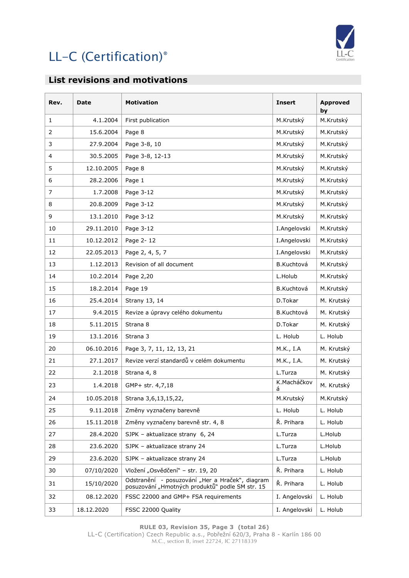

### <span id="page-2-0"></span>**List revisions and motivations**

| Rev.           | Date       | <b>Motivation</b>                                                                                  | <b>Insert</b>    | <b>Approved</b><br>by |
|----------------|------------|----------------------------------------------------------------------------------------------------|------------------|-----------------------|
| $\mathbf{1}$   | 4.1.2004   | First publication                                                                                  | M.Krutský        | M.Krutský             |
| $\overline{2}$ | 15.6.2004  | Page 8                                                                                             | M.Krutský        | M.Krutský             |
| 3              | 27.9.2004  | Page 3-8, 10                                                                                       | M.Krutský        | M.Krutský             |
| 4              | 30.5.2005  | Page 3-8, 12-13                                                                                    | M.Krutský        | M.Krutský             |
| 5              | 12.10.2005 | Page 8                                                                                             | M.Krutský        | M.Krutský             |
| 6              | 28.2.2006  | Page 1                                                                                             | M.Krutský        | M.Krutský             |
| $\overline{7}$ | 1.7.2008   | Page 3-12                                                                                          | M.Krutský        | M.Krutský             |
| 8              | 20.8.2009  | Page 3-12                                                                                          | M.Krutský        | M.Krutský             |
| 9              | 13.1.2010  | Page 3-12                                                                                          | M.Krutský        | M.Krutský             |
| 10             | 29.11.2010 | Page 3-12                                                                                          | I.Angelovski     | M.Krutský             |
| 11             | 10.12.2012 | Page 2-12                                                                                          | I.Angelovski     | M.Krutský             |
| 12             | 22.05.2013 | Page 2, 4, 5, 7                                                                                    | I.Angelovski     | M.Krutský             |
| 13             | 1.12.2013  | Revision of all document                                                                           | B.Kuchtová       | M.Krutský             |
| 14             | 10.2.2014  | Page 2,20                                                                                          | L.Holub          | M.Krutský             |
| 15             | 18.2.2014  | Page 19                                                                                            | B.Kuchtová       | M.Krutský             |
| 16             | 25.4.2014  | Strany 13, 14                                                                                      | D.Tokar          | M. Krutský            |
| 17             | 9.4.2015   | Revize a úpravy celého dokumentu                                                                   | B.Kuchtová       | M. Krutský            |
| 18             | 5.11.2015  | Strana 8                                                                                           | D.Tokar          | M. Krutský            |
| 19             | 13.1.2016  | Strana 3                                                                                           | L. Holub         | L. Holub              |
| 20             | 06.10.2016 | Page 3, 7, 11, 12, 13, 21                                                                          | M.K., I.A        | M. Krutský            |
| 21             | 27.1.2017  | Revize verzí standardů v celém dokumentu                                                           | M.K., I.A.       | M. Krutský            |
| 22             | 2.1.2018   | Strana 4, 8                                                                                        | L.Turza          | M. Krutský            |
| 23             | 1.4.2018   | GMP+ str. 4,7,18                                                                                   | K.Macháčkov<br>á | M. Krutský            |
| 24             | 10.05.2018 | Strana 3,6,13,15,22,                                                                               | M.Krutský        | M.Krutský             |
| 25             | 9.11.2018  | Změny vyznačeny barevně                                                                            | L. Holub         | L. Holub              |
| 26             | 15.11.2018 | Změny vyznačeny barevně str. 4, 8                                                                  | Ř. Prihara       | L. Holub              |
| 27             | 28.4.2020  | SJPK - aktualizace strany 6, 24                                                                    | L.Turza          | L.Holub               |
| 28             | 23.6.2020  | SJPK - aktualizace strany 24                                                                       | L.Turza          | L.Holub               |
| 29             | 23.6.2020  | SJPK - aktualizace strany 24                                                                       | L.Turza          | L.Holub               |
| 30             | 07/10/2020 | Vložení "Osvědčení" - str. 19, 20                                                                  | Ř. Prihara       | L. Holub              |
| 31             | 15/10/2020 | Odstranění - posuzování "Her a Hraček", diagram<br>posuzování "Hmotných produktů" podle SM str. 15 | Ř. Prihara       | L. Holub              |
| 32             | 08.12.2020 | FSSC 22000 and GMP+ FSA requirements                                                               | I. Angelovski    | L. Holub              |
| 33             | 18.12.2020 | FSSC 22000 Quality                                                                                 | I. Angelovski    | L. Holub              |

**RULE 03, Revision 35, Page 3 (total 26)**

LL-C (Certification) Czech Republic a.s., Pobřežní 620/3, Praha 8 - Karlín 186 00 M.C., section B, inset 22724, IC 27118339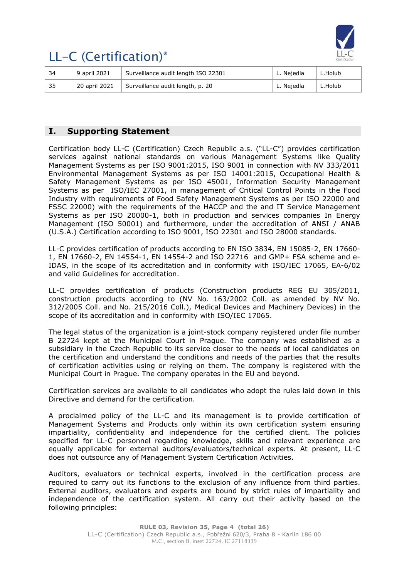

| ∣ 34 | 9 april 2021  | Surveillance audit length ISO 22301 | L. Nejedla | L.Holub |
|------|---------------|-------------------------------------|------------|---------|
| 35   | 20 april 2021 | Surveillance audit length, p. 20    | L. Nejedla | L.Holub |

### <span id="page-3-0"></span>**I. Supporting Statement**

Certification body LL-C (Certification) Czech Republic a.s. ("LL-C") provides certification services against national standards on various Management Systems like Quality Management Systems as per ISO 9001:2015, ISO 9001 in connection with NV 333/2011 Environmental Management Systems as per ISO 14001:2015, Occupational Health & Safety Management Systems as per ISO 45001, Information Security Management Systems as per ISO/IEC 27001, in management of Critical Control Points in the Food Industry with requirements of Food Safety Management Systems as per ISO 22000 and FSSC 22000) with the requirements of the HACCP and the and IT Service Management Systems as per ISO 20000-1, both in production and services companies In Energy Management (ISO 50001) and furthermore, under the accreditation of ANSI / ANAB (U.S.A.) Certification according to ISO 9001, ISO 22301 and ISO 28000 standards.

LL-C provides certification of products according to EN ISO 3834, EN 15085-2, EN 17660- 1, EN 17660-2, EN 14554-1, EN 14554-2 and ISO 22716 and GMP+ FSA scheme and e-IDAS, in the scope of its accreditation and in conformity with ISO/IEC 17065, EA-6/02 and valid Guidelines for accreditation.

LL-C provides certification of products (Construction products REG EU 305/2011, construction products according to (NV No. 163/2002 Coll. as amended by NV No. 312/2005 Coll. and No. 215/2016 Coll.), Medical Devices and Machinery Devices) in the scope of its accreditation and in conformity with ISO/IEC 17065.

The legal status of the organization is a joint-stock company registered under file number B 22724 kept at the Municipal Court in Prague. The company was established as a subsidiary in the Czech Republic to its service closer to the needs of local candidates on the certification and understand the conditions and needs of the parties that the results of certification activities using or relying on them. The company is registered with the Municipal Court in Prague. The company operates in the EU and beyond.

Certification services are available to all candidates who adopt the rules laid down in this Directive and demand for the certification.

A proclaimed policy of the LL-C and its management is to provide certification of Management Systems and Products only within its own certification system ensuring impartiality, confidentiality and independence for the certified client. The policies specified for LL-C personnel regarding knowledge, skills and relevant experience are equally applicable for external auditors/evaluators/technical experts. At present, LL-C does not outsource any of Management System Certification Activities.

Auditors, evaluators or technical experts, involved in the certification process are required to carry out its functions to the exclusion of any influence from third parties. External auditors, evaluators and experts are bound by strict rules of impartiality and independence of the certification system. All carry out their activity based on the following principles: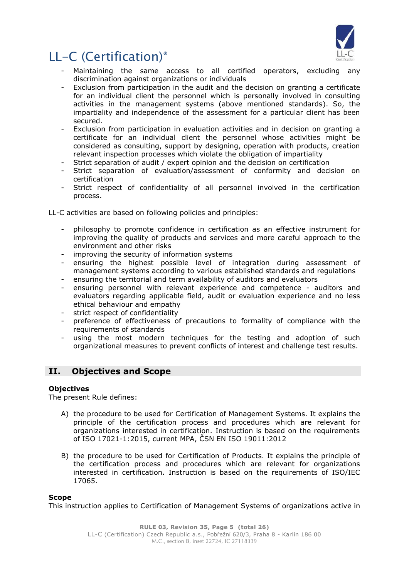

- Maintaining the same access to all certified operators, excluding any discrimination against organizations or individuals
- Exclusion from participation in the audit and the decision on granting a certificate for an individual client the personnel which is personally involved in consulting activities in the management systems (above mentioned standards). So, the impartiality and independence of the assessment for a particular client has been secured.
- Exclusion from participation in evaluation activities and in decision on granting a certificate for an individual client the personnel whose activities might be considered as consulting, support by designing, operation with products, creation relevant inspection processes which violate the obligation of impartiality
- Strict separation of audit / expert opinion and the decision on certification
- Strict separation of evaluation/assessment of conformity and decision on certification
- Strict respect of confidentiality of all personnel involved in the certification process.

LL-C activities are based on following policies and principles:

- philosophy to promote confidence in certification as an effective instrument for improving the quality of products and services and more careful approach to the environment and other risks
- improving the security of information systems
- ensuring the highest possible level of integration during assessment of management systems according to various established standards and regulations
- ensuring the territorial and term availability of auditors and evaluators
- ensuring personnel with relevant experience and competence auditors and evaluators regarding applicable field, audit or evaluation experience and no less ethical behaviour and empathy
- strict respect of confidentiality
- preference of effectiveness of precautions to formality of compliance with the requirements of standards
- using the most modern techniques for the testing and adoption of such organizational measures to prevent conflicts of interest and challenge test results.

### <span id="page-4-0"></span>**II. Objectives and Scope**

### **Objectives**

The present Rule defines:

- A) the procedure to be used for Certification of Management Systems. It explains the principle of the certification process and procedures which are relevant for organizations interested in certification. Instruction is based on the requirements of ISO 17021-1:2015, current MPA, ČSN EN ISO 19011:2012
- B) the procedure to be used for Certification of Products. It explains the principle of the certification process and procedures which are relevant for organizations interested in certification. Instruction is based on the requirements of ISO/IEC 17065.

### **Scope**

This instruction applies to Certification of Management Systems of organizations active in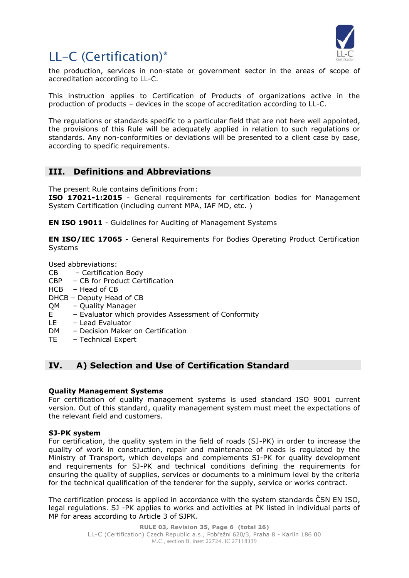

the production, services in non-state or government sector in the areas of scope of accreditation according to LL-C.

This instruction applies to Certification of Products of organizations active in the production of products – devices in the scope of accreditation according to LL-C.

The regulations or standards specific to a particular field that are not here well appointed, the provisions of this Rule will be adequately applied in relation to such regulations or standards. Any non-conformities or deviations will be presented to a client case by case, according to specific requirements.

### <span id="page-5-0"></span>**III. Definitions and Abbreviations**

The present Rule contains definitions from:

**ISO 17021-1:2015** - General requirements for certification bodies for Management System Certification (including current MPA, IAF MD, etc. )

**EN ISO 19011** - Guidelines for Auditing of Management Systems

**EN ISO/IEC 17065** - General Requirements For Bodies Operating Product Certification Systems

Used abbreviations:

- CB Certification Body
- CBP CB for Product Certification
- HCB Head of CB
- DHCB Deputy Head of CB
- QM Quality Manager
- E Evaluator which provides Assessment of Conformity
- LE Lead Evaluator
- DM Decision Maker on Certification
- TE Technical Expert

### <span id="page-5-1"></span>**IV. A) Selection and Use of Certification Standard**

### **Quality Management Systems**

For certification of quality management systems is used standard ISO 9001 current version. Out of this standard, quality management system must meet the expectations of the relevant field and customers.

### **SJ-PK system**

For certification, the quality system in the field of roads (SJ-PK) in order to increase the quality of work in construction, repair and maintenance of roads is regulated by the Ministry of Transport, which develops and complements SJ-PK for quality development and requirements for SJ-PK and technical conditions defining the requirements for ensuring the quality of supplies, services or documents to a minimum level by the criteria for the technical qualification of the tenderer for the supply, service or works contract.

The certification process is applied in accordance with the system standards ČSN EN ISO, legal regulations. SJ -PK applies to works and activities at PK listed in individual parts of MP for areas according to Article 3 of SJPK.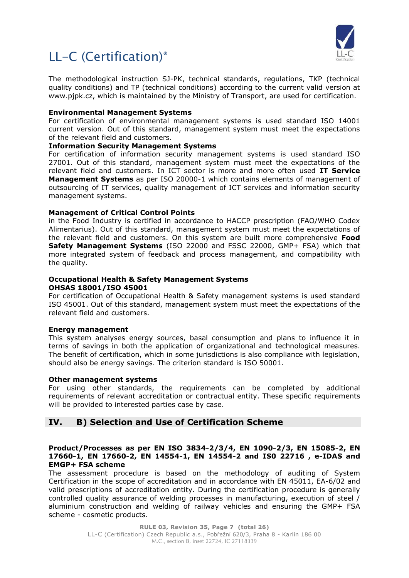

The methodological instruction SJ-PK, technical standards, regulations, TKP (technical quality conditions) and TP (technical conditions) according to the current valid version at www.pjpk.cz, which is maintained by the Ministry of Transport, are used for certification.

### **Environmental Management Systems**

For certification of environmental management systems is used standard ISO 14001 current version. Out of this standard, management system must meet the expectations of the relevant field and customers.

### **Information Security Management Systems**

For certification of information security management systems is used standard ISO 27001. Out of this standard, management system must meet the expectations of the relevant field and customers. In ICT sector is more and more often used **IT Service Management Systems** as per ISO 20000-1 which contains elements of management of outsourcing of IT services, quality management of ICT services and information security management systems.

### **Management of Critical Control Points**

in the Food Industry is certified in accordance to HACCP prescription (FAO/WHO Codex Alimentarius). Out of this standard, management system must meet the expectations of the relevant field and customers. On this system are built more comprehensive **Food Safety Management Systems** (ISO 22000 and FSSC 22000, GMP+ FSA) which that more integrated system of feedback and process management, and compatibility with the quality.

#### **Occupational Health & Safety Management Systems OHSAS 18001/ISO 45001**

For certification of Occupational Health & Safety management systems is used standard ISO 45001. Out of this standard, management system must meet the expectations of the relevant field and customers.

### **Energy management**

This system analyses energy sources, basal consumption and plans to influence it in terms of savings in both the application of organizational and technological measures. The benefit of certification, which in some jurisdictions is also compliance with legislation, should also be energy savings. The criterion standard is ISO 50001.

### **Other management systems**

For using other standards, the requirements can be completed by additional requirements of relevant accreditation or contractual entity. These specific requirements will be provided to interested parties case by case.

### <span id="page-6-0"></span>**IV. B) Selection and Use of Certification Scheme**

### **Product/Processes as per EN ISO 3834-2/3/4, EN 1090-2/3, EN 15085-2, EN 17660-1, EN 17660-2, EN 14554-1, EN 14554-2 and IS0 22716 , e-IDAS and EMGP+ FSA scheme**

The assessment procedure is based on the methodology of auditing of System Certification in the scope of accreditation and in accordance with EN 45011, EA-6/02 and valid prescriptions of accreditation entity. During the certification procedure is generally controlled quality assurance of welding processes in manufacturing, execution of steel / aluminium construction and welding of railway vehicles and ensuring the GMP+ FSA scheme - cosmetic products.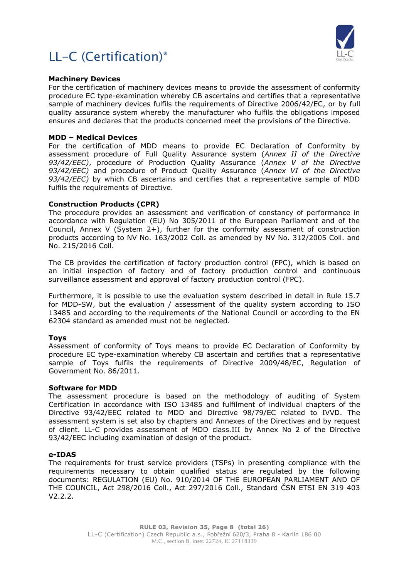



#### **Machinery Devices**

For the certification of machinery devices means to provide the assessment of conformity procedure EC type-examination whereby CB ascertains and certifies that a representative sample of machinery devices fulfils the requirements of Directive 2006/42/EC, or by full quality assurance system whereby the manufacturer who fulfils the obligations imposed ensures and declares that the products concerned meet the provisions of the Directive.

#### **MDD – Medical Devices**

For the certification of MDD means to provide EC Declaration of Conformity by assessment procedure of Full Quality Assurance system (*Annex II of the Directive 93/42/EEC)*, procedure of Production Quality Assurance (*Annex V of the Directive 93/42/EEC)* and procedure of Product Quality Assurance (*Annex VI of the Directive 93/42/EEC)* by which CB ascertains and certifies that a representative sample of MDD fulfils the requirements of Directive.

#### **Construction Products (CPR)**

The procedure provides an assessment and verification of constancy of performance in accordance with Regulation (EU) No 305/2011 of the European Parliament and of the Council, Annex V (System 2+), further for the conformity assessment of construction products according to NV No. 163/2002 Coll. as amended by NV No. 312/2005 Coll. and No. 215/2016 Coll.

The CB provides the certification of factory production control (FPC), which is based on an initial inspection of factory and of factory production control and continuous surveillance assessment and approval of factory production control (FPC).

Furthermore, it is possible to use the evaluation system described in detail in Rule 15.7 for MDD-SW, but the evaluation / assessment of the quality system according to ISO 13485 and according to the requirements of the National Council or according to the EN 62304 standard as amended must not be neglected.

### **Toys**

Assessment of conformity of Toys means to provide EC Declaration of Conformity by procedure EC type-examination whereby CB ascertain and certifies that a representative sample of Toys fulfils the requirements of Directive 2009/48/EC, Regulation of Government No. 86/2011.

#### **Software for MDD**

The assessment procedure is based on the methodology of auditing of System Certification in accordance with ISO 13485 and fulfilment of individual chapters of the Directive 93/42/EEC related to MDD and Directive 98/79/EC related to IVVD. The assessment system is set also by chapters and Annexes of the Directives and by request of client. LL-C provides assessment of MDD class.III by Annex No 2 of the Directive 93/42/EEC including examination of design of the product.

#### **e-IDAS**

The requirements for trust service providers (TSPs) in presenting compliance with the requirements necessary to obtain qualified status are regulated by the following documents: REGULATION (EU) No. 910/2014 OF THE EUROPEAN PARLIAMENT AND OF THE COUNCIL, Act 298/2016 Coll., Act 297/2016 Coll., Standard ČSN ETSI EN 319 403 V2.2.2.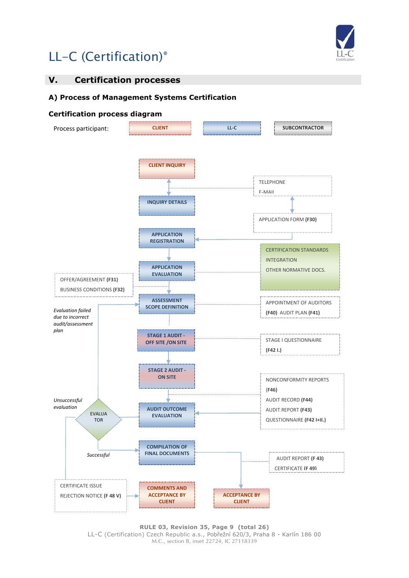

### <span id="page-8-0"></span>**V. Certification processes**

### **A) Process of Management Systems Certification**

### **Certification process diagram**



**RULE 03, Revision 35, Page 9 (total 26)** LL-C (Certification) Czech Republic a.s., Pobřežní 620/3, Praha 8 - Karlín 186 00 M.C., section B, inset 22724, IC 27118339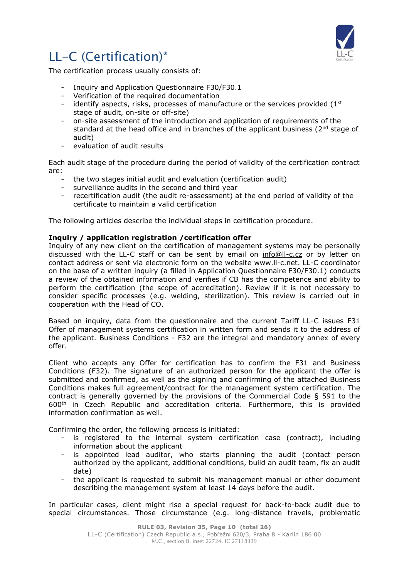

The certification process usually consists of:

- Inquiry and Application Questionnaire F30/F30.1
- Verification of the required documentation
- identify aspects, risks, processes of manufacture or the services provided  $(1<sup>st</sup>)$ stage of audit, on-site or off-site)
- on-site assessment of the introduction and application of requirements of the standard at the head office and in branches of the applicant business (2<sup>nd</sup> stage of audit)
- evaluation of audit results

Each audit stage of the procedure during the period of validity of the certification contract are:

- the two stages initial audit and evaluation (certification audit)
- surveillance audits in the second and third year
- recertification audit (the audit re-assessment) at the end period of validity of the certificate to maintain a valid certification

The following articles describe the individual steps in certification procedure.

### **Inquiry / application registration /certification offer**

Inquiry of any new client on the certification of management systems may be personally discussed with the LL-C staff or can be sent by email on [info@ll-c.cz](mailto:info@ll-c.cz) or by letter on contact address or sent via electronic form on the website www.ll-c.net. LL-C coordinator on the base of a written inquiry (a filled in Application Questionnaire F30/F30.1) conducts a review of the obtained information and verifies if CB has the competence and ability to perform the certification (the scope of accreditation). Review if it is not necessary to consider specific processes (e.g. welding, sterilization). This review is carried out in cooperation with the Head of CO.

Based on inquiry, data from the questionnaire and the current Tariff LL-C issues F31 Offer of management systems certification in written form and sends it to the address of the applicant. Business Conditions - F32 are the integral and mandatory annex of every offer.

Client who accepts any Offer for certification has to confirm the F31 and Business Conditions (F32). The signature of an authorized person for the applicant the offer is submitted and confirmed, as well as the signing and confirming of the attached Business Conditions makes full agreement/contract for the management system certification. The contract is generally governed by the provisions of the Commercial Code § 591 to the 600th in Czech Republic and accreditation criteria. Furthermore, this is provided information confirmation as well.

Confirming the order, the following process is initiated:

- is registered to the internal system certification case (contract), including information about the applicant
- is appointed lead auditor, who starts planning the audit (contact person authorized by the applicant, additional conditions, build an audit team, fix an audit date)
- the applicant is requested to submit his management manual or other document describing the management system at least 14 days before the audit.

In particular cases, client might rise a special request for back-to-back audit due to special circumstances. Those circumstance (e.g. long-distance travels, problematic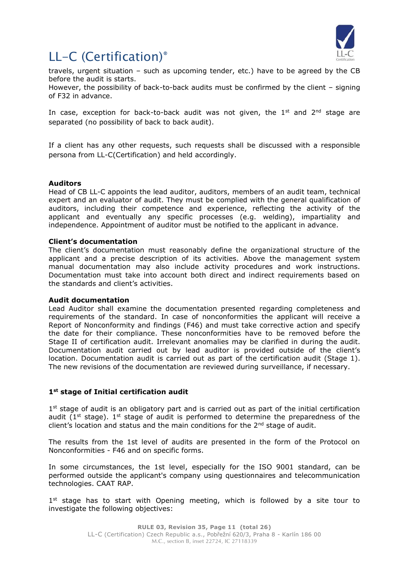

travels, urgent situation – such as upcoming tender, etc.) have to be agreed by the CB before the audit is starts.

However, the possibility of back-to-back audits must be confirmed by the client – signing of F32 in advance.

In case, exception for back-to-back audit was not given, the  $1<sup>st</sup>$  and  $2<sup>nd</sup>$  stage are separated (no possibility of back to back audit).

If a client has any other requests, such requests shall be discussed with a responsible persona from LL-C(Certification) and held accordingly.

### **Auditors**

Head of CB LL-C appoints the lead auditor, auditors, members of an audit team, technical expert and an evaluator of audit. They must be complied with the general qualification of auditors, including their competence and experience, reflecting the activity of the applicant and eventually any specific processes (e.g. welding), impartiality and independence. Appointment of auditor must be notified to the applicant in advance.

### **Client's documentation**

The client's documentation must reasonably define the organizational structure of the applicant and a precise description of its activities. Above the management system manual documentation may also include activity procedures and work instructions. Documentation must take into account both direct and indirect requirements based on the standards and client's activities.

### **Audit documentation**

Lead Auditor shall examine the documentation presented regarding completeness and requirements of the standard. In case of nonconformities the applicant will receive a Report of Nonconformity and findings (F46) and must take corrective action and specify the date for their compliance. These nonconformities have to be removed before the Stage II of certification audit. Irrelevant anomalies may be clarified in during the audit. Documentation audit carried out by lead auditor is provided outside of the client's location. Documentation audit is carried out as part of the certification audit (Stage 1). The new revisions of the documentation are reviewed during surveillance, if necessary.

### **1st stage of Initial certification audit**

1<sup>st</sup> stage of audit is an obligatory part and is carried out as part of the initial certification audit ( $1<sup>st</sup>$  stage).  $1<sup>st</sup>$  stage of audit is performed to determine the preparedness of the client's location and status and the main conditions for the  $2^{nd}$  stage of audit.

The results from the 1st level of audits are presented in the form of the Protocol on Nonconformities - F46 and on specific forms.

In some circumstances, the 1st level, especially for the ISO 9001 standard, can be performed outside the applicant's company using questionnaires and telecommunication technologies. CAAT RAP.

1<sup>st</sup> stage has to start with Opening meeting, which is followed by a site tour to investigate the following objectives: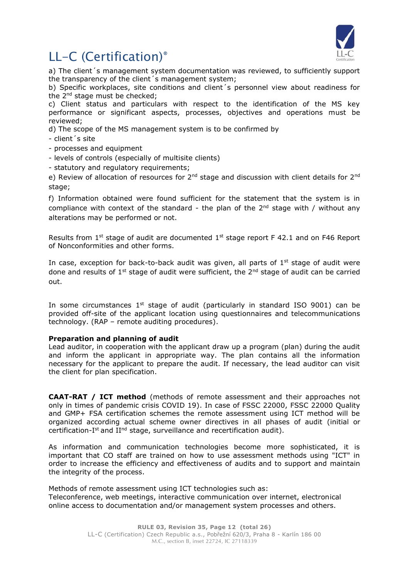

a) The client´s management system documentation was reviewed, to sufficiently support the transparency of the client´s management system;

b) Specific workplaces, site conditions and client´s personnel view about readiness for the 2nd stage must be checked;

c) Client status and particulars with respect to the identification of the MS key performance or significant aspects, processes, objectives and operations must be reviewed;

d) The scope of the MS management system is to be confirmed by

- client´s site

- processes and equipment
- levels of controls (especially of multisite clients)
- statutory and regulatory requirements;

e) Review of allocation of resources for  $2^{nd}$  stage and discussion with client details for  $2^{nd}$ stage;

f) Information obtained were found sufficient for the statement that the system is in compliance with context of the standard - the plan of the  $2^{nd}$  stage with / without anv alterations may be performed or not.

Results from  $1<sup>st</sup>$  stage of audit are documented  $1<sup>st</sup>$  stage report F 42.1 and on F46 Report of Nonconformities and other forms.

In case, exception for back-to-back audit was given, all parts of  $1<sup>st</sup>$  stage of audit were done and results of  $1^{st}$  stage of audit were sufficient, the  $2^{nd}$  stage of audit can be carried out.

In some circumstances 1<sup>st</sup> stage of audit (particularly in standard ISO 9001) can be provided off-site of the applicant location using questionnaires and telecommunications technology. (RAP – remote auditing procedures).

### **Preparation and planning of audit**

Lead auditor, in cooperation with the applicant draw up a program (plan) during the audit and inform the applicant in appropriate way. The plan contains all the information necessary for the applicant to prepare the audit. If necessary, the lead auditor can visit the client for plan specification.

**CAAT-RAT / ICT method** (methods of remote assessment and their approaches not only in times of pandemic crisis COVID 19). In case of FSSC 22000, FSSC 22000 Quality and GMP+ FSA certification schemes the remote assessment using ICT method will be organized according actual scheme owner directives in all phases of audit (initial or certification-I<sup>st</sup> and II<sup>nd</sup> stage, surveillance and recertification audit).

As information and communication technologies become more sophisticated, it is important that CO staff are trained on how to use assessment methods using "ICT" in order to increase the efficiency and effectiveness of audits and to support and maintain the integrity of the process.

Methods of remote assessment using ICT technologies such as: Teleconference, web meetings, interactive communication over internet, electronical online access to documentation and/or management system processes and others.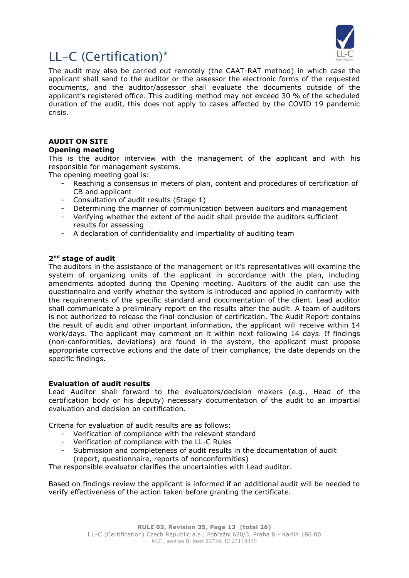

The audit may also be carried out remotely (the CAAT-RAT method) in which case the applicant shall send to the auditor or the assessor the electronic forms of the requested documents, and the auditor/assessor shall evaluate the documents outside of the applicant's registered office. This auditing method may not exceed 30 % of the scheduled duration of the audit, this does not apply to cases affected by the COVID 19 pandemic crisis.

### **AUDIT ON SITE**

### **Opening meeting**

This is the auditor interview with the management of the applicant and with his responsible for management systems.

The opening meeting goal is:

- Reaching a consensus in meters of plan, content and procedures of certification of CB and applicant
- Consultation of audit results (Stage 1)
- Determining the manner of communication between auditors and management
- Verifying whether the extent of the audit shall provide the auditors sufficient results for assessing
- A declaration of confidentiality and impartiality of auditing team

### **2nd stage of audit**

The auditors in the assistance of the management or it's representatives will examine the system of organizing units of the applicant in accordance with the plan, including amendments adopted during the Opening meeting. Auditors of the audit can use the questionnaire and verify whether the system is introduced and applied in conformity with the requirements of the specific standard and documentation of the client. Lead auditor shall communicate a preliminary report on the results after the audit. A team of auditors is not authorized to release the final conclusion of certification. The Audit Report contains the result of audit and other important information, the applicant will receive within 14 work/days. The applicant may comment on it within next following 14 days. If findings (non-conformities, deviations) are found in the system, the applicant must propose appropriate corrective actions and the date of their compliance; the date depends on the specific findings.

### **Evaluation of audit results**

Lead Auditor shall forward to the evaluators/decision makers (e.g., Head of the certification body or his deputy) necessary documentation of the audit to an impartial evaluation and decision on certification.

Criteria for evaluation of audit results are as follows:

- Verification of compliance with the relevant standard
- Verification of compliance with the LL-C Rules
- Submission and completeness of audit results in the documentation of audit (report, questionnaire, reports of nonconformities)

The responsible evaluator clarifies the uncertainties with Lead auditor.

Based on findings review the applicant is informed if an additional audit will be needed to verify effectiveness of the action taken before granting the certificate.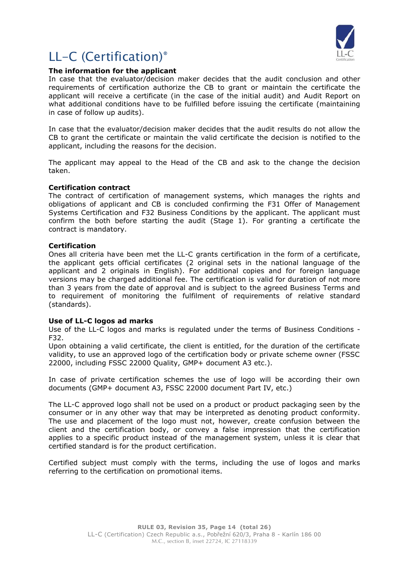

### **The information for the applicant**

In case that the evaluator/decision maker decides that the audit conclusion and other requirements of certification authorize the CB to grant or maintain the certificate the applicant will receive a certificate (in the case of the initial audit) and Audit Report on what additional conditions have to be fulfilled before issuing the certificate (maintaining in case of follow up audits).

In case that the evaluator/decision maker decides that the audit results do not allow the CB to grant the certificate or maintain the valid certificate the decision is notified to the applicant, including the reasons for the decision.

The applicant may appeal to the Head of the CB and ask to the change the decision taken.

### **Certification contract**

The contract of certification of management systems, which manages the rights and obligations of applicant and CB is concluded confirming the F31 Offer of Management Systems Certification and F32 Business Conditions by the applicant. The applicant must confirm the both before starting the audit (Stage 1). For granting a certificate the contract is mandatory.

### **Certification**

Ones all criteria have been met the LL-C grants certification in the form of a certificate, the applicant gets official certificates (2 original sets in the national language of the applicant and 2 originals in English). For additional copies and for foreign language versions may be charged additional fee. The certification is valid for duration of not more than 3 years from the date of approval and is subject to the agreed Business Terms and to requirement of monitoring the fulfilment of requirements of relative standard (standards).

### **Use of LL-C logos ad marks**

Use of the LL-C logos and marks is regulated under the terms of Business Conditions - F32.

Upon obtaining a valid certificate, the client is entitled, for the duration of the certificate validity, to use an approved logo of the certification body or private scheme owner (FSSC 22000, including FSSC 22000 Quality, GMP+ document A3 etc.).

In case of private certification schemes the use of logo will be according their own documents (GMP+ document A3, FSSC 22000 document Part IV, etc.)

The LL-C approved logo shall not be used on a product or product packaging seen by the consumer or in any other way that may be interpreted as denoting product conformity. The use and placement of the logo must not, however, create confusion between the client and the certification body, or convey a false impression that the certification applies to a specific product instead of the management system, unless it is clear that certified standard is for the product certification.

Certified subject must comply with the terms, including the use of logos and marks referring to the certification on promotional items.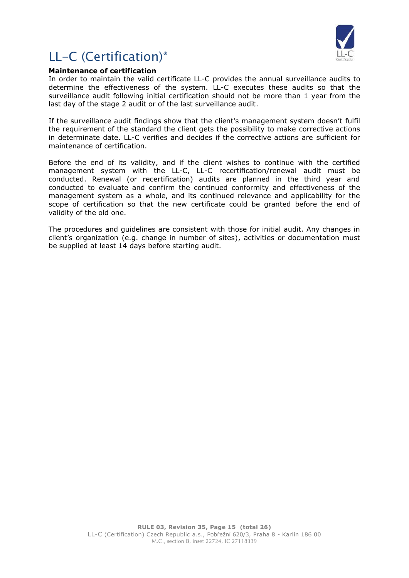

### **Maintenance of certification**

In order to maintain the valid certificate LL-C provides the annual surveillance audits to determine the effectiveness of the system. LL-C executes these audits so that the surveillance audit following initial certification should not be more than 1 year from the last day of the stage 2 audit or of the last surveillance audit.

If the surveillance audit findings show that the client's management system doesn't fulfil the requirement of the standard the client gets the possibility to make corrective actions in determinate date. LL-C verifies and decides if the corrective actions are sufficient for maintenance of certification.

Before the end of its validity, and if the client wishes to continue with the certified management system with the LL-C, LL-C recertification/renewal audit must be conducted. Renewal (or recertification) audits are planned in the third year and conducted to evaluate and confirm the continued conformity and effectiveness of the management system as a whole, and its continued relevance and applicability for the scope of certification so that the new certificate could be granted before the end of validity of the old one.

The procedures and guidelines are consistent with those for initial audit. Any changes in client's organization (e.g. change in number of sites), activities or documentation must be supplied at least 14 days before starting audit.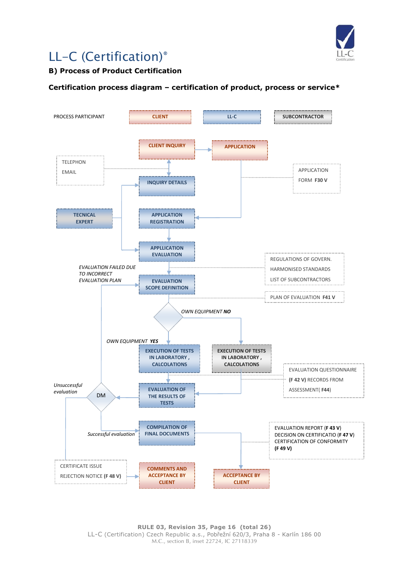

### **B) Process of Product Certification**

### **Certification process diagram – certification of product, process or service\***



**RULE 03, Revision 35, Page 16 (total 26)** LL-C (Certification) Czech Republic a.s., Pobřežní 620/3, Praha 8 - Karlín 186 00 M.C., section B, inset 22724, IC 27118339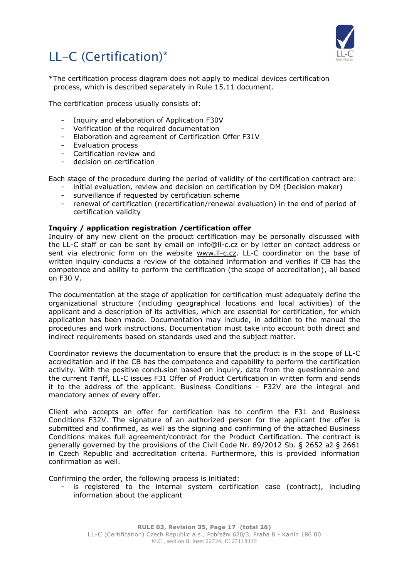

\*The certification process diagram does not apply to medical devices certification process, which is described separately in Rule 15.11 document.

The certification process usually consists of:

- Inquiry and elaboration of Application F30V
- Verification of the required documentation
- Elaboration and agreement of Certification Offer F31V
- Evaluation process
- Certification review and
- decision on certification

Each stage of the procedure during the period of validity of the certification contract are:

- initial evaluation, review and decision on certification by DM (Decision maker)
- surveillance if requested by certification scheme
- renewal of certification (recertification/renewal evaluation) in the end of period of certification validity

### **Inquiry / application registration /certification offer**

Inquiry of any new client on the product certification may be personally discussed with the LL-C staff or can be sent by email on [info@ll-c.cz](mailto:info@ll-c.cz) or by letter on contact address or sent via electronic form on the website [www.ll-c.cz.](http://www.ll-c.cz/) LL-C coordinator on the base of written inquiry conducts a review of the obtained information and verifies if CB has the competence and ability to perform the certification (the scope of accreditation), all based on F30 V.

The documentation at the stage of application for certification must adequately define the organizational structure (including geographical locations and local activities) of the applicant and a description of its activities, which are essential for certification, for which application has been made. Documentation may include, in addition to the manual the procedures and work instructions. Documentation must take into account both direct and indirect requirements based on standards used and the subject matter.

Coordinator reviews the documentation to ensure that the product is in the scope of LL-C accreditation and if the CB has the competence and capability to perform the certification activity. With the positive conclusion based on inquiry, data from the questionnaire and the current Tariff, LL-C issues F31 Offer of Product Certification in written form and sends it to the address of the applicant. Business Conditions - F32V are the integral and mandatory annex of every offer.

Client who accepts an offer for certification has to confirm the F31 and Business Conditions F32V. The signature of an authorized person for the applicant the offer is submitted and confirmed, as well as the signing and confirming of the attached Business Conditions makes full agreement/contract for the Product Certification. The contract is generally governed by the provisions of the Civil Code Nr. 89/2012 Sb. § 2652 až § 2661 in Czech Republic and accreditation criteria. Furthermore, this is provided information confirmation as well.

Confirming the order, the following process is initiated:

- is registered to the internal system certification case (contract), including information about the applicant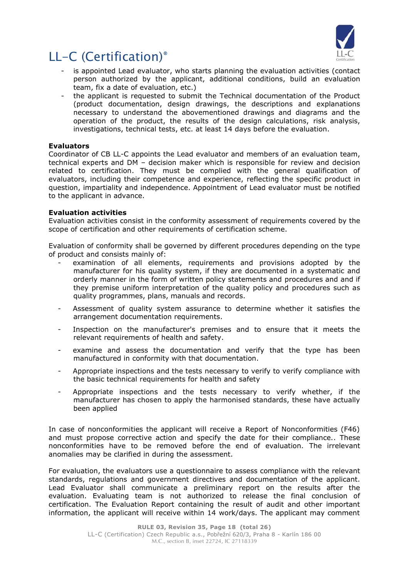

- is appointed Lead evaluator, who starts planning the evaluation activities (contact person authorized by the applicant, additional conditions, build an evaluation team, fix a date of evaluation, etc.)
- the applicant is requested to submit the Technical documentation of the Product (product documentation, design drawings, the descriptions and explanations necessary to understand the abovementioned drawings and diagrams and the operation of the product, the results of the design calculations, risk analysis, investigations, technical tests, etc. at least 14 days before the evaluation.

### **Evaluators**

Coordinator of CB LL-C appoints the Lead evaluator and members of an evaluation team, technical experts and DM – decision maker which is responsible for review and decision related to certification. They must be complied with the general qualification of evaluators, including their competence and experience, reflecting the specific product in question, impartiality and independence. Appointment of Lead evaluator must be notified to the applicant in advance.

### **Evaluation activities**

Evaluation activities consist in the conformity assessment of requirements covered by the scope of certification and other requirements of certification scheme.

Evaluation of conformity shall be governed by different procedures depending on the type of product and consists mainly of:

- examination of all elements, requirements and provisions adopted by the manufacturer for his quality system, if they are documented in a systematic and orderly manner in the form of written policy statements and procedures and and if they premise uniform interpretation of the quality policy and procedures such as quality programmes, plans, manuals and records.
- Assessment of quality system assurance to determine whether it satisfies the arrangement documentation requirements.
- Inspection on the manufacturer's premises and to ensure that it meets the relevant requirements of health and safety.
- examine and assess the documentation and verify that the type has been manufactured in conformity with that documentation.
- Appropriate inspections and the tests necessary to verify to verify compliance with the basic technical requirements for health and safety
- Appropriate inspections and the tests necessary to verify whether, if the manufacturer has chosen to apply the harmonised standards, these have actually been applied

In case of nonconformities the applicant will receive a Report of Nonconformities (F46) and must propose corrective action and specify the date for their compliance.. These nonconformities have to be removed before the end of evaluation. The irrelevant anomalies may be clarified in during the assessment.

For evaluation, the evaluators use a questionnaire to assess compliance with the relevant standards, regulations and government directives and documentation of the applicant. Lead Evaluator shall communicate a preliminary report on the results after the evaluation. Evaluating team is not authorized to release the final conclusion of certification. The Evaluation Report containing the result of audit and other important information, the applicant will receive within 14 work/days. The applicant may comment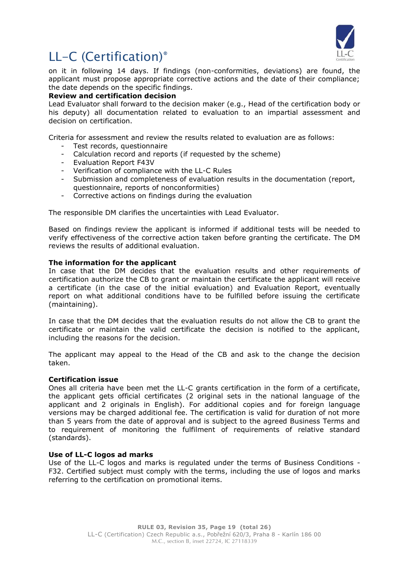

on it in following 14 days. If findings (non-conformities, deviations) are found, the applicant must propose appropriate corrective actions and the date of their compliance; the date depends on the specific findings.

### **Review and certification decision**

Lead Evaluator shall forward to the decision maker (e.g., Head of the certification body or his deputy) all documentation related to evaluation to an impartial assessment and decision on certification.

Criteria for assessment and review the results related to evaluation are as follows:

- Test records, questionnaire
- Calculation record and reports (if requested by the scheme)
- Evaluation Report F43V
- Verification of compliance with the LL-C Rules
- Submission and completeness of evaluation results in the documentation (report, questionnaire, reports of nonconformities)
- Corrective actions on findings during the evaluation

The responsible DM clarifies the uncertainties with Lead Evaluator.

Based on findings review the applicant is informed if additional tests will be needed to verify effectiveness of the corrective action taken before granting the certificate. The DM reviews the results of additional evaluation.

### **The information for the applicant**

In case that the DM decides that the evaluation results and other requirements of certification authorize the CB to grant or maintain the certificate the applicant will receive a certificate (in the case of the initial evaluation) and Evaluation Report, eventually report on what additional conditions have to be fulfilled before issuing the certificate (maintaining).

In case that the DM decides that the evaluation results do not allow the CB to grant the certificate or maintain the valid certificate the decision is notified to the applicant, including the reasons for the decision.

The applicant may appeal to the Head of the CB and ask to the change the decision taken.

### **Certification issue**

Ones all criteria have been met the LL-C grants certification in the form of a certificate, the applicant gets official certificates (2 original sets in the national language of the applicant and 2 originals in English). For additional copies and for foreign language versions may be charged additional fee. The certification is valid for duration of not more than 5 years from the date of approval and is subject to the agreed Business Terms and to requirement of monitoring the fulfilment of requirements of relative standard (standards).

### **Use of LL-C logos ad marks**

Use of the LL-C logos and marks is regulated under the terms of Business Conditions - F32. Certified subject must comply with the terms, including the use of logos and marks referring to the certification on promotional items.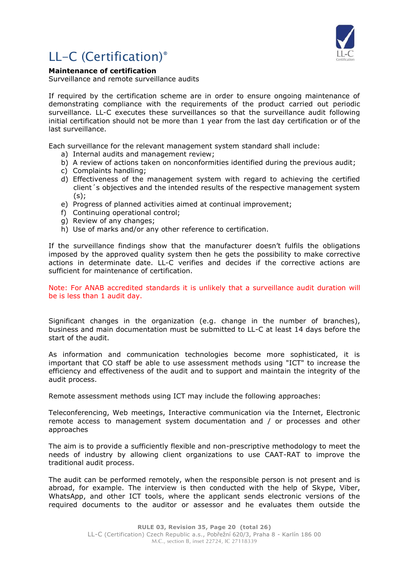

### **Maintenance of certification**

Surveillance and remote surveillance audits

If required by the certification scheme are in order to ensure ongoing maintenance of demonstrating compliance with the requirements of the product carried out periodic surveillance. LL-C executes these surveillances so that the surveillance audit following initial certification should not be more than 1 year from the last day certification or of the last surveillance.

Each surveillance for the relevant management system standard shall include:

- a) Internal audits and management review;
- b) A review of actions taken on nonconformities identified during the previous audit;
- c) Complaints handling;
- d) Effectiveness of the management system with regard to achieving the certified client´s objectives and the intended results of the respective management system (s);
- e) Progress of planned activities aimed at continual improvement;
- f) Continuing operational control;
- g) Review of any changes;
- h) Use of marks and/or any other reference to certification.

If the surveillance findings show that the manufacturer doesn't fulfils the obligations imposed by the approved quality system then he gets the possibility to make corrective actions in determinate date. LL-C verifies and decides if the corrective actions are sufficient for maintenance of certification.

Note: For ANAB accredited standards it is unlikely that a surveillance audit duration will be is less than 1 audit day.

Significant changes in the organization (e.g. change in the number of branches), business and main documentation must be submitted to LL-C at least 14 days before the start of the audit.

As information and communication technologies become more sophisticated, it is important that CO staff be able to use assessment methods using "ICT" to increase the efficiency and effectiveness of the audit and to support and maintain the integrity of the audit process.

Remote assessment methods using ICT may include the following approaches:

Teleconferencing, Web meetings, Interactive communication via the Internet, Electronic remote access to management system documentation and / or processes and other approaches

The aim is to provide a sufficiently flexible and non-prescriptive methodology to meet the needs of industry by allowing client organizations to use CAAT-RAT to improve the traditional audit process.

The audit can be performed remotely, when the responsible person is not present and is abroad, for example. The interview is then conducted with the help of Skype, Viber, WhatsApp, and other ICT tools, where the applicant sends electronic versions of the required documents to the auditor or assessor and he evaluates them outside the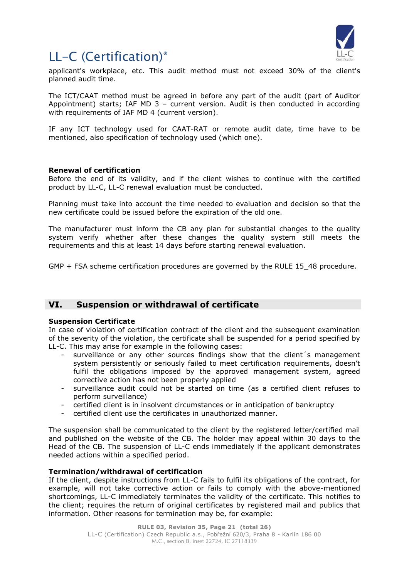

applicant's workplace, etc. This audit method must not exceed 30% of the client's planned audit time.

The ICT/CAAT method must be agreed in before any part of the audit (part of Auditor Appointment) starts; IAF MD 3 – current version. Audit is then conducted in according with requirements of IAF MD 4 (current version).

IF any ICT technology used for CAAT-RAT or remote audit date, time have to be mentioned, also specification of technology used (which one).

### **Renewal of certification**

Before the end of its validity, and if the client wishes to continue with the certified product by LL-C, LL-C renewal evaluation must be conducted.

Planning must take into account the time needed to evaluation and decision so that the new certificate could be issued before the expiration of the old one.

The manufacturer must inform the CB any plan for substantial changes to the quality system verify whether after these changes the quality system still meets the requirements and this at least 14 days before starting renewal evaluation.

GMP + FSA scheme certification procedures are governed by the RULE 15\_48 procedure.

### <span id="page-20-0"></span>**VI. Suspension or withdrawal of certificate**

### **Suspension Certificate**

In case of violation of certification contract of the client and the subsequent examination of the severity of the violation, the certificate shall be suspended for a period specified by LL-C. This may arise for example in the following cases:

- surveillance or any other sources findings show that the client's management system persistently or seriously failed to meet certification requirements, doesn't fulfil the obligations imposed by the approved management system, agreed corrective action has not been properly applied
- surveillance audit could not be started on time (as a certified client refuses to perform surveillance)
- certified client is in insolvent circumstances or in anticipation of bankruptcy
- certified client use the certificates in unauthorized manner.

The suspension shall be communicated to the client by the registered letter/certified mail and published on the website of the CB. The holder may appeal within 30 days to the Head of the CB. The suspension of LL-C ends immediately if the applicant demonstrates needed actions within a specified period.

### **Termination/withdrawal of certification**

If the client, despite instructions from LL-C fails to fulfil its obligations of the contract, for example, will not take corrective action or fails to comply with the above-mentioned shortcomings, LL-C immediately terminates the validity of the certificate. This notifies to the client; requires the return of original certificates by registered mail and publics that information. Other reasons for termination may be, for example: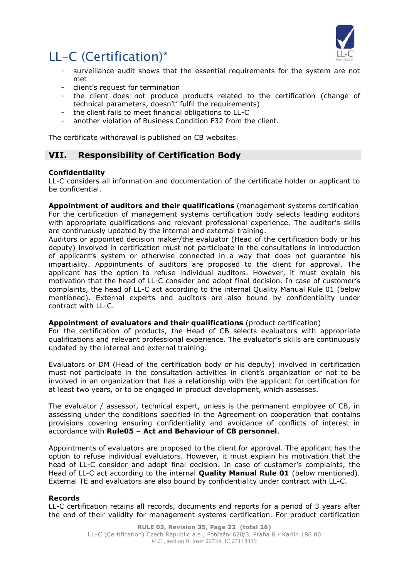

- surveillance audit shows that the essential requirements for the system are not met
- client's request for termination
- the client does not produce products related to the certification (change of technical parameters, doesn't' fulfil the requirements)
- the client fails to meet financial obligations to LL-C
- another violation of Business Condition F32 from the client.

The certificate withdrawal is published on CB websites.

### <span id="page-21-0"></span>**VII. Responsibility of Certification Body**

### **Confidentiality**

LL-C considers all information and documentation of the certificate holder or applicant to be confidential.

**Appointment of auditors and their qualifications** (management systems certification For the certification of management systems certification body selects leading auditors with appropriate qualifications and relevant professional experience. The auditor's skills are continuously updated by the internal and external training.

Auditors or appointed decision maker/the evaluator (Head of the certification body or his deputy) involved in certification must not participate in the consultations in introduction of applicant's system or otherwise connected in a way that does not guarantee his impartiality. Appointments of auditors are proposed to the client for approval. The applicant has the option to refuse individual auditors. However, it must explain his motivation that the head of LL-C consider and adopt final decision. In case of customer's complaints, the head of LL-C act according to the internal Quality Manual Rule 01 (below mentioned). External experts and auditors are also bound by confidentiality under contract with LL-C.

### **Appointment of evaluators and their qualifications** (product certification)

For the certification of products, the Head of CB selects evaluators with appropriate qualifications and relevant professional experience. The evaluator's skills are continuously updated by the internal and external training.

Evaluators or DM (Head of the certification body or his deputy) involved in certification must not participate in the consultation activities in client's organization or not to be involved in an organization that has a relationship with the applicant for certification for at least two years, or to be engaged in product development, which assesses.

The evaluator / assessor, technical expert, unless is the permanent employee of CB, in assessing under the conditions specified in the Agreement on cooperation that contains provisions covering ensuring confidentiality and avoidance of conflicts of interest in accordance with **Rule05 – Act and Behaviour of CB personnel**.

Appointments of evaluators are proposed to the client for approval. The applicant has the option to refuse individual evaluators. However, it must explain his motivation that the head of LL-C consider and adopt final decision. In case of customer's complaints, the Head of LL-C act according to the internal **Quality Manual Rule 01** (below mentioned). External TE and evaluators are also bound by confidentiality under contract with LL-C.

### **Records**

LL-C certification retains all records, documents and reports for a period of 3 years after the end of their validity for management systems certification. For product certification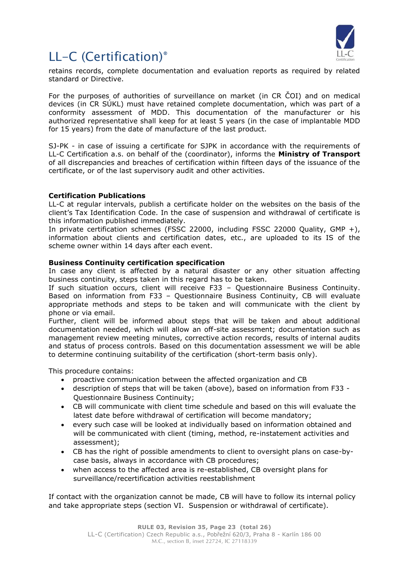

retains records, complete documentation and evaluation reports as required by related standard or Directive.

For the purposes of authorities of surveillance on market (in CR ČOI) and on medical devices (in CR SÚKL) must have retained complete documentation, which was part of a conformity assessment of MDD. This documentation of the manufacturer or his authorized representative shall keep for at least 5 years (in the case of implantable MDD for 15 years) from the date of manufacture of the last product.

SJ-PK - in case of issuing a certificate for SJPK in accordance with the requirements of LL-C Certification a.s. on behalf of the (coordinator), informs the **Ministry of Transport** of all discrepancies and breaches of certification within fifteen days of the issuance of the certificate, or of the last supervisory audit and other activities.

### **Certification Publications**

LL-C at regular intervals, publish a certificate holder on the websites on the basis of the client's Tax Identification Code. In the case of suspension and withdrawal of certificate is this information published immediately.

In private certification schemes (FSSC 22000, including FSSC 22000 Quality, GMP +), information about clients and certification dates, etc., are uploaded to its IS of the scheme owner within 14 days after each event.

### **Business Continuity certification specification**

In case any client is affected by a natural disaster or any other situation affecting business continuity, steps taken in this regard has to be taken.

If such situation occurs, client will receive F33 – Questionnaire Business Continuity. Based on information from F33 – Questionnaire Business Continuity, CB will evaluate appropriate methods and steps to be taken and will communicate with the client by phone or via email.

Further, client will be informed about steps that will be taken and about additional documentation needed, which will allow an off-site assessment; documentation such as management review meeting minutes, corrective action records, results of internal audits and status of process controls. Based on this documentation assessment we will be able to determine continuing suitability of the certification (short-term basis only).

This procedure contains:

- proactive communication between the affected organization and CB
- description of steps that will be taken (above), based on information from F33 Questionnaire Business Continuity;
- CB will communicate with client time schedule and based on this will evaluate the latest date before withdrawal of certification will become mandatory;
- every such case will be looked at individually based on information obtained and will be communicated with client (timing, method, re-instatement activities and assessment);
- CB has the right of possible amendments to client to oversight plans on case-bycase basis, always in accordance with CB procedures;
- when access to the affected area is re-established, CB oversight plans for surveillance/recertification activities reestablishment

If contact with the organization cannot be made, CB will have to follow its internal policy and take appropriate steps (section VI. Suspension or withdrawal of certificate).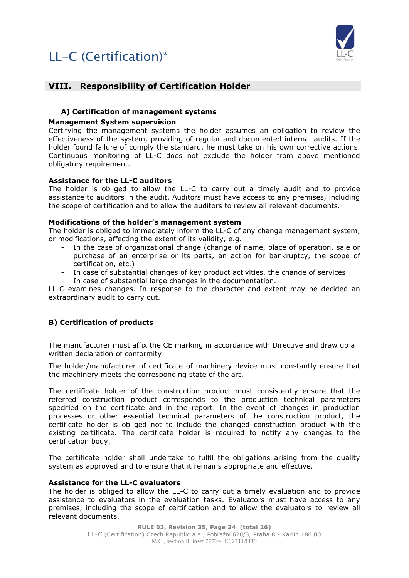

### <span id="page-23-0"></span>**VIII. Responsibility of Certification Holder**

### <span id="page-23-1"></span>**A) Certification of management systems**

### **Management System supervision**

Certifying the management systems the holder assumes an obligation to review the effectiveness of the system, providing of regular and documented internal audits. If the holder found failure of comply the standard, he must take on his own corrective actions. Continuous monitoring of LL-C does not exclude the holder from above mentioned obligatory requirement.

### **Assistance for the LL-C auditors**

The holder is obliged to allow the LL-C to carry out a timely audit and to provide assistance to auditors in the audit. Auditors must have access to any premises, including the scope of certification and to allow the auditors to review all relevant documents.

### **Modifications of the holder's management system**

The holder is obliged to immediately inform the LL-C of any change management system, or modifications, affecting the extent of its validity, e.g.

- In the case of organizational change (change of name, place of operation, sale or purchase of an enterprise or its parts, an action for bankruptcy, the scope of certification, etc.)
- In case of substantial changes of key product activities, the change of services
- In case of substantial large changes in the documentation.

LL-C examines changes. In response to the character and extent may be decided an extraordinary audit to carry out.

### <span id="page-23-2"></span>**B) Certification of products**

The manufacturer must affix the CE marking in accordance with Directive and draw up a written declaration of conformity.

The holder/manufacturer of certificate of machinery device must constantly ensure that the machinery meets the corresponding state of the art.

The certificate holder of the construction product must consistently ensure that the referred construction product corresponds to the production technical parameters specified on the certificate and in the report. In the event of changes in production processes or other essential technical parameters of the construction product, the certificate holder is obliged not to include the changed construction product with the existing certificate. The certificate holder is required to notify any changes to the certification body.

The certificate holder shall undertake to fulfil the obligations arising from the quality system as approved and to ensure that it remains appropriate and effective.

### **Assistance for the LL-C evaluators**

The holder is obliged to allow the LL-C to carry out a timely evaluation and to provide assistance to evaluators in the evaluation tasks. Evaluators must have access to any premises, including the scope of certification and to allow the evaluators to review all relevant documents.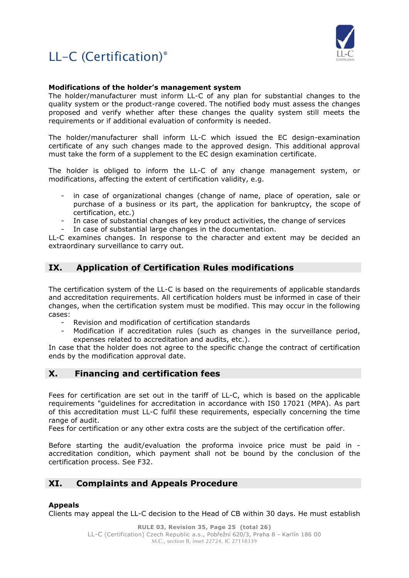



### **Modifications of the holder's management system**

The holder/manufacturer must inform LL-C of any plan for substantial changes to the quality system or the product-range covered. The notified body must assess the changes proposed and verify whether after these changes the quality system still meets the requirements or if additional evaluation of conformity is needed.

The holder/manufacturer shall inform LL-C which issued the EC design-examination certificate of any such changes made to the approved design. This additional approval must take the form of a supplement to the EC design examination certificate.

The holder is obliged to inform the LL-C of any change management system, or modifications, affecting the extent of certification validity, e.g.

- in case of organizational changes (change of name, place of operation, sale or purchase of a business or its part, the application for bankruptcy, the scope of certification, etc.)
- In case of substantial changes of key product activities, the change of services In case of substantial large changes in the documentation.

LL-C examines changes. In response to the character and extent may be decided an extraordinary surveillance to carry out.

### <span id="page-24-0"></span>**IX. Application of Certification Rules modifications**

The certification system of the LL-C is based on the requirements of applicable standards and accreditation requirements. All certification holders must be informed in case of their changes, when the certification system must be modified. This may occur in the following cases:

- Revision and modification of certification standards
- Modification if accreditation rules (such as changes in the surveillance period, expenses related to accreditation and audits, etc.).

In case that the holder does not agree to the specific change the contract of certification ends by the modification approval date.

### <span id="page-24-1"></span>**X. Financing and certification fees**

Fees for certification are set out in the tariff of LL-C, which is based on the applicable requirements "guidelines for accreditation in accordance with IS0 17021 (MPA). As part of this accreditation must LL-C fulfil these requirements, especially concerning the time range of audit.

Fees for certification or any other extra costs are the subject of the certification offer.

Before starting the audit/evaluation the proforma invoice price must be paid in accreditation condition, which payment shall not be bound by the conclusion of the certification process. See F32.

### <span id="page-24-2"></span>**XI. Complaints and Appeals Procedure**

### **Appeals**

Clients may appeal the LL-C decision to the Head of CB within 30 days. He must establish